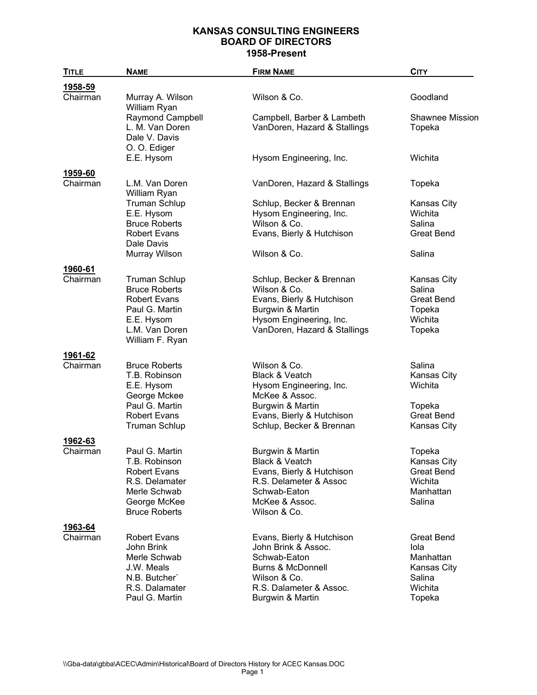| <b>TITLE</b>        | <b>NAME</b>                                                                                                                              | <b>FIRM NAME</b>                                                                                                                                                | <b>CITY</b>                                                                          |
|---------------------|------------------------------------------------------------------------------------------------------------------------------------------|-----------------------------------------------------------------------------------------------------------------------------------------------------------------|--------------------------------------------------------------------------------------|
| 1958-59             |                                                                                                                                          |                                                                                                                                                                 |                                                                                      |
| Chairman            | Murray A. Wilson<br>William Ryan                                                                                                         | Wilson & Co.                                                                                                                                                    | Goodland                                                                             |
|                     | <b>Raymond Campbell</b><br>L. M. Van Doren<br>Dale V. Davis<br>O. O. Ediger                                                              | Campbell, Barber & Lambeth<br>VanDoren, Hazard & Stallings                                                                                                      | <b>Shawnee Mission</b><br>Topeka                                                     |
|                     | E.E. Hysom                                                                                                                               | Hysom Engineering, Inc.                                                                                                                                         | Wichita                                                                              |
| 1959-60<br>Chairman | L.M. Van Doren<br>William Ryan                                                                                                           | VanDoren, Hazard & Stallings                                                                                                                                    | Topeka                                                                               |
|                     | <b>Truman Schlup</b><br>E.E. Hysom<br><b>Bruce Roberts</b><br><b>Robert Evans</b><br>Dale Davis                                          | Schlup, Becker & Brennan<br>Hysom Engineering, Inc.<br>Wilson & Co.<br>Evans, Bierly & Hutchison                                                                | Kansas City<br>Wichita<br>Salina<br><b>Great Bend</b>                                |
|                     | Murray Wilson                                                                                                                            | Wilson & Co.                                                                                                                                                    | Salina                                                                               |
| 1960-61<br>Chairman | <b>Truman Schlup</b><br><b>Bruce Roberts</b><br><b>Robert Evans</b><br>Paul G. Martin<br>E.E. Hysom<br>L.M. Van Doren<br>William F. Ryan | Schlup, Becker & Brennan<br>Wilson & Co.<br>Evans, Bierly & Hutchison<br>Burgwin & Martin<br>Hysom Engineering, Inc.<br>VanDoren, Hazard & Stallings            | Kansas City<br>Salina<br><b>Great Bend</b><br>Topeka<br>Wichita<br>Topeka            |
| 1961-62             |                                                                                                                                          |                                                                                                                                                                 |                                                                                      |
| Chairman            | <b>Bruce Roberts</b><br>T.B. Robinson<br>E.E. Hysom<br>George Mckee<br>Paul G. Martin<br><b>Robert Evans</b><br><b>Truman Schlup</b>     | Wilson & Co.<br>Black & Veatch<br>Hysom Engineering, Inc.<br>McKee & Assoc.<br>Burgwin & Martin<br>Evans, Bierly & Hutchison<br>Schlup, Becker & Brennan        | Salina<br>Kansas City<br>Wichita<br>Topeka<br><b>Great Bend</b><br>Kansas City       |
| 1962-63             |                                                                                                                                          |                                                                                                                                                                 |                                                                                      |
| Chairman            | Paul G. Martin<br>T.B. Robinson<br><b>Robert Evans</b><br>R.S. Delamater<br>Merle Schwab<br>George McKee<br><b>Bruce Roberts</b>         | Burgwin & Martin<br>Black & Veatch<br>Evans, Bierly & Hutchison<br>R.S. Delameter & Assoc<br>Schwab-Eaton<br>McKee & Assoc.<br>Wilson & Co.                     | Topeka<br>Kansas City<br><b>Great Bend</b><br>Wichita<br>Manhattan<br>Salina         |
| 1963-64<br>Chairman | <b>Robert Evans</b><br>John Brink<br>Merle Schwab<br>J.W. Meals<br>N.B. Butcher'<br>R.S. Dalamater<br>Paul G. Martin                     | Evans, Bierly & Hutchison<br>John Brink & Assoc.<br>Schwab-Eaton<br><b>Burns &amp; McDonnell</b><br>Wilson & Co.<br>R.S. Dalameter & Assoc.<br>Burgwin & Martin | <b>Great Bend</b><br>Iola<br>Manhattan<br>Kansas City<br>Salina<br>Wichita<br>Topeka |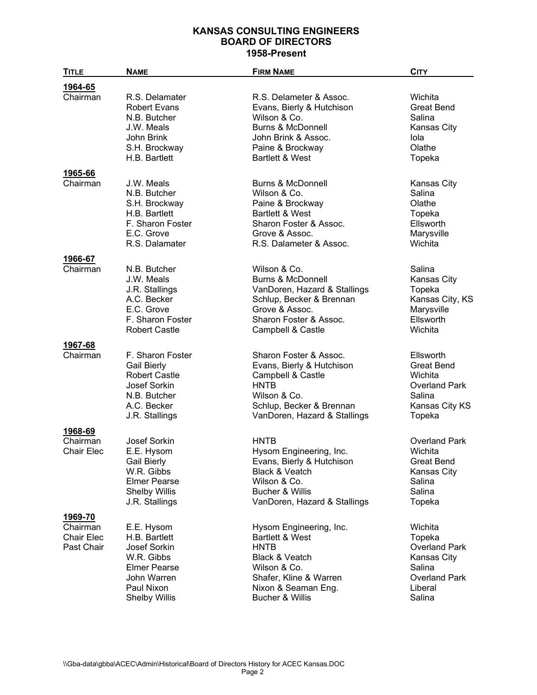| <b>TITLE</b>                                | <b>NAME</b>                                                                                                                           | <b>FIRM NAME</b>                                                                                                                                                              | <b>CITY</b>                                                                                                            |
|---------------------------------------------|---------------------------------------------------------------------------------------------------------------------------------------|-------------------------------------------------------------------------------------------------------------------------------------------------------------------------------|------------------------------------------------------------------------------------------------------------------------|
| 1964-65                                     |                                                                                                                                       |                                                                                                                                                                               |                                                                                                                        |
| Chairman                                    | R.S. Delamater<br><b>Robert Evans</b><br>N.B. Butcher<br>J.W. Meals<br>John Brink<br>S.H. Brockway<br>H.B. Bartlett                   | R.S. Delameter & Assoc.<br>Evans, Bierly & Hutchison<br>Wilson & Co.<br><b>Burns &amp; McDonnell</b><br>John Brink & Assoc.<br>Paine & Brockway<br><b>Bartlett &amp; West</b> | Wichita<br><b>Great Bend</b><br>Salina<br><b>Kansas City</b><br>Iola<br>Olathe<br>Topeka                               |
| 1965-66                                     |                                                                                                                                       |                                                                                                                                                                               |                                                                                                                        |
| Chairman                                    | J.W. Meals<br>N.B. Butcher<br>S.H. Brockway<br>H.B. Bartlett<br>F. Sharon Foster<br>E.C. Grove<br>R.S. Dalamater                      | <b>Burns &amp; McDonnell</b><br>Wilson & Co.<br>Paine & Brockway<br><b>Bartlett &amp; West</b><br>Sharon Foster & Assoc.<br>Grove & Assoc.<br>R.S. Dalameter & Assoc.         | <b>Kansas City</b><br>Salina<br>Olathe<br>Topeka<br>Ellsworth<br>Marysville<br>Wichita                                 |
| 1966-67                                     |                                                                                                                                       |                                                                                                                                                                               |                                                                                                                        |
| Chairman                                    | N.B. Butcher<br>J.W. Meals<br>J.R. Stallings<br>A.C. Becker<br>E.C. Grove<br>F. Sharon Foster<br><b>Robert Castle</b>                 | Wilson & Co.<br><b>Burns &amp; McDonnell</b><br>VanDoren, Hazard & Stallings<br>Schlup, Becker & Brennan<br>Grove & Assoc.<br>Sharon Foster & Assoc.<br>Campbell & Castle     | Salina<br><b>Kansas City</b><br>Topeka<br>Kansas City, KS<br>Marysville<br>Ellsworth<br>Wichita                        |
| 1967-68                                     |                                                                                                                                       |                                                                                                                                                                               |                                                                                                                        |
| Chairman                                    | F. Sharon Foster<br><b>Gail Bierly</b><br><b>Robert Castle</b><br>Josef Sorkin<br>N.B. Butcher<br>A.C. Becker<br>J.R. Stallings       | Sharon Foster & Assoc.<br>Evans, Bierly & Hutchison<br>Campbell & Castle<br><b>HNTB</b><br>Wilson & Co.<br>Schlup, Becker & Brennan<br>VanDoren, Hazard & Stallings           | Ellsworth<br><b>Great Bend</b><br>Wichita<br><b>Overland Park</b><br>Salina<br>Kansas City KS<br>Topeka                |
| 1968-69                                     |                                                                                                                                       |                                                                                                                                                                               |                                                                                                                        |
| Chairman<br><b>Chair Elec</b>               | <b>Josef Sorkin</b><br>E.E. Hysom<br><b>Gail Bierly</b><br>W.R. Gibbs<br>Elmer Pearse<br><b>Shelby Willis</b><br>J.R. Stallings       | <b>HNTB</b><br>Hysom Engineering, Inc.<br>Evans, Bierly & Hutchison<br>Black & Veatch<br>Wilson & Co.<br>Bucher & Willis<br>VanDoren, Hazard & Stallings                      | <b>Overland Park</b><br>Wichita<br><b>Great Bend</b><br><b>Kansas City</b><br>Salina<br>Salina<br>Topeka               |
| 1969-70                                     |                                                                                                                                       |                                                                                                                                                                               |                                                                                                                        |
| Chairman<br><b>Chair Elec</b><br>Past Chair | E.E. Hysom<br>H.B. Bartlett<br>Josef Sorkin<br>W.R. Gibbs<br><b>Elmer Pearse</b><br>John Warren<br>Paul Nixon<br><b>Shelby Willis</b> | Hysom Engineering, Inc.<br>Bartlett & West<br><b>HNTB</b><br>Black & Veatch<br>Wilson & Co.<br>Shafer, Kline & Warren<br>Nixon & Seaman Eng.<br>Bucher & Willis               | Wichita<br>Topeka<br><b>Overland Park</b><br><b>Kansas City</b><br>Salina<br><b>Overland Park</b><br>Liberal<br>Salina |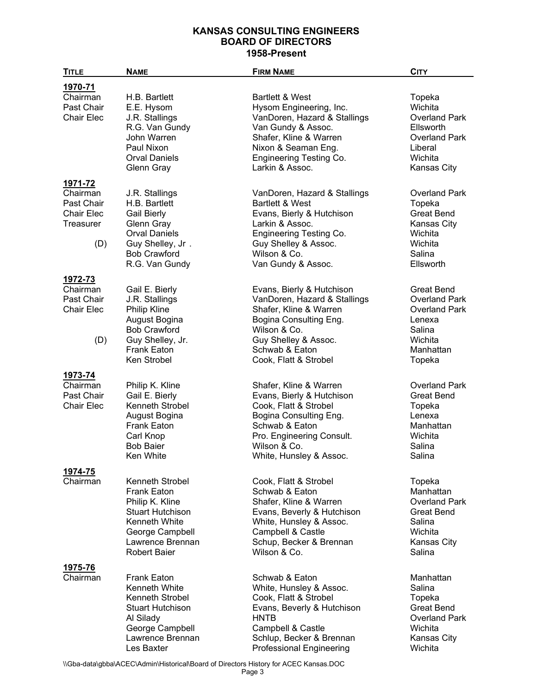| <b>TITLE</b>                                                    | <b>NAME</b>                                                                                                                                                               | <b>FIRM NAME</b>                                                                                                                                                                                                  | <b>CITY</b>                                                                                                             |
|-----------------------------------------------------------------|---------------------------------------------------------------------------------------------------------------------------------------------------------------------------|-------------------------------------------------------------------------------------------------------------------------------------------------------------------------------------------------------------------|-------------------------------------------------------------------------------------------------------------------------|
| 1970-71                                                         |                                                                                                                                                                           |                                                                                                                                                                                                                   |                                                                                                                         |
| Chairman<br>Past Chair<br><b>Chair Elec</b>                     | H.B. Bartlett<br>E.E. Hysom<br>J.R. Stallings<br>R.G. Van Gundy<br>John Warren<br>Paul Nixon<br><b>Orval Daniels</b><br><b>Glenn Gray</b>                                 | <b>Bartlett &amp; West</b><br>Hysom Engineering, Inc.<br>VanDoren, Hazard & Stallings<br>Van Gundy & Assoc.<br>Shafer, Kline & Warren<br>Nixon & Seaman Eng.<br><b>Engineering Testing Co.</b><br>Larkin & Assoc. | Topeka<br>Wichita<br><b>Overland Park</b><br>Ellsworth<br><b>Overland Park</b><br>Liberal<br>Wichita<br>Kansas City     |
| 1971-72                                                         |                                                                                                                                                                           |                                                                                                                                                                                                                   |                                                                                                                         |
| Chairman<br>Past Chair<br>Chair Elec<br><b>Treasurer</b><br>(D) | J.R. Stallings<br>H.B. Bartlett<br><b>Gail Bierly</b><br>Glenn Gray<br><b>Orval Daniels</b><br>Guy Shelley, Jr.<br><b>Bob Crawford</b><br>R.G. Van Gundy                  | VanDoren, Hazard & Stallings<br><b>Bartlett &amp; West</b><br>Evans, Bierly & Hutchison<br>Larkin & Assoc.<br>Engineering Testing Co.<br>Guy Shelley & Assoc.<br>Wilson & Co.<br>Van Gundy & Assoc.               | <b>Overland Park</b><br>Topeka<br><b>Great Bend</b><br><b>Kansas City</b><br>Wichita<br>Wichita<br>Salina<br>Ellsworth  |
| 1972-73                                                         |                                                                                                                                                                           |                                                                                                                                                                                                                   |                                                                                                                         |
| Chairman<br>Past Chair<br>Chair Elec<br>(D)                     | Gail E. Bierly<br>J.R. Stallings<br><b>Philip Kline</b><br>August Bogina<br><b>Bob Crawford</b><br>Guy Shelley, Jr.<br><b>Frank Eaton</b><br>Ken Strobel                  | Evans, Bierly & Hutchison<br>VanDoren, Hazard & Stallings<br>Shafer, Kline & Warren<br>Bogina Consulting Eng.<br>Wilson & Co.<br>Guy Shelley & Assoc.<br>Schwab & Eaton<br>Cook, Flatt & Strobel                  | <b>Great Bend</b><br><b>Overland Park</b><br><b>Overland Park</b><br>Lenexa<br>Salina<br>Wichita<br>Manhattan<br>Topeka |
| 1973-74                                                         |                                                                                                                                                                           |                                                                                                                                                                                                                   |                                                                                                                         |
| Chairman<br>Past Chair<br>Chair Elec                            | Philip K. Kline<br>Gail E. Bierly<br>Kenneth Strobel<br>August Bogina<br><b>Frank Eaton</b><br>Carl Knop<br><b>Bob Baier</b><br>Ken White                                 | Shafer, Kline & Warren<br>Evans, Bierly & Hutchison<br>Cook, Flatt & Strobel<br>Bogina Consulting Eng.<br>Schwab & Eaton<br>Pro. Engineering Consult.<br>Wilson & Co.<br>White, Hunsley & Assoc.                  | <b>Overland Park</b><br><b>Great Bend</b><br>Topeka<br>Lenexa<br>Manhattan<br>Wichita<br>Salina<br>Salina               |
| 1974-75                                                         |                                                                                                                                                                           |                                                                                                                                                                                                                   |                                                                                                                         |
| Chairman                                                        | Kenneth Strobel<br><b>Frank Eaton</b><br>Philip K. Kline<br><b>Stuart Hutchison</b><br><b>Kenneth White</b><br>George Campbell<br>Lawrence Brennan<br><b>Robert Baier</b> | Cook, Flatt & Strobel<br>Schwab & Eaton<br>Shafer, Kline & Warren<br>Evans, Beverly & Hutchison<br>White, Hunsley & Assoc.<br>Campbell & Castle<br>Schup, Becker & Brennan<br>Wilson & Co.                        | Topeka<br>Manhattan<br><b>Overland Park</b><br><b>Great Bend</b><br>Salina<br>Wichita<br><b>Kansas City</b><br>Salina   |
| 1975-76                                                         |                                                                                                                                                                           |                                                                                                                                                                                                                   |                                                                                                                         |
| Chairman                                                        | <b>Frank Eaton</b><br>Kenneth White<br>Kenneth Strobel<br><b>Stuart Hutchison</b><br>Al Silady<br>George Campbell<br>Lawrence Brennan<br>Les Baxter                       | Schwab & Eaton<br>White, Hunsley & Assoc.<br>Cook, Flatt & Strobel<br>Evans, Beverly & Hutchison<br><b>HNTB</b><br>Campbell & Castle<br>Schlup, Becker & Brennan<br><b>Professional Engineering</b>               | Manhattan<br>Salina<br>Topeka<br><b>Great Bend</b><br><b>Overland Park</b><br>Wichita<br>Kansas City<br>Wichita         |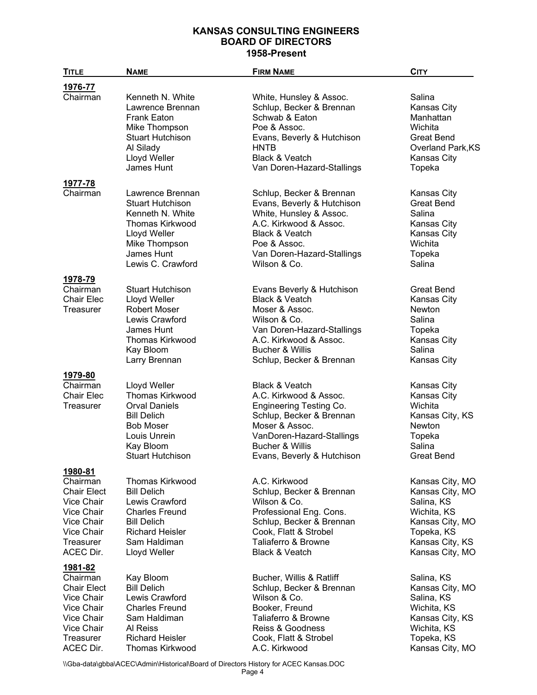| <b>TITLE</b>                                                                                                                | <b>NAME</b>                                                                                                                                                             | <b>FIRM NAME</b>                                                                                                                                                                                           | <b>CITY</b>                                                                                                                            |
|-----------------------------------------------------------------------------------------------------------------------------|-------------------------------------------------------------------------------------------------------------------------------------------------------------------------|------------------------------------------------------------------------------------------------------------------------------------------------------------------------------------------------------------|----------------------------------------------------------------------------------------------------------------------------------------|
| 1976-77                                                                                                                     |                                                                                                                                                                         |                                                                                                                                                                                                            |                                                                                                                                        |
| Chairman                                                                                                                    | Kenneth N. White<br>Lawrence Brennan<br><b>Frank Eaton</b><br>Mike Thompson<br><b>Stuart Hutchison</b><br>Al Silady<br>Lloyd Weller<br>James Hunt                       | White, Hunsley & Assoc.<br>Schlup, Becker & Brennan<br>Schwab & Eaton<br>Poe & Assoc.<br>Evans, Beverly & Hutchison<br><b>HNTB</b><br><b>Black &amp; Veatch</b><br>Van Doren-Hazard-Stallings              | Salina<br>Kansas City<br>Manhattan<br>Wichita<br><b>Great Bend</b><br>Overland Park, KS<br>Kansas City<br>Topeka                       |
| 1977-78<br>Chairman                                                                                                         | Lawrence Brennan<br><b>Stuart Hutchison</b><br>Kenneth N. White<br><b>Thomas Kirkwood</b><br>Lloyd Weller<br>Mike Thompson<br>James Hunt                                | Schlup, Becker & Brennan<br>Evans, Beverly & Hutchison<br>White, Hunsley & Assoc.<br>A.C. Kirkwood & Assoc.<br>Black & Veatch<br>Poe & Assoc.<br>Van Doren-Hazard-Stallings                                | <b>Kansas City</b><br><b>Great Bend</b><br>Salina<br>Kansas City<br>Kansas City<br>Wichita<br>Topeka                                   |
|                                                                                                                             | Lewis C. Crawford                                                                                                                                                       | Wilson & Co.                                                                                                                                                                                               | Salina                                                                                                                                 |
| 1978-79<br>Chairman<br><b>Chair Elec</b><br><b>Treasurer</b>                                                                | <b>Stuart Hutchison</b><br>Lloyd Weller<br><b>Robert Moser</b><br>Lewis Crawford<br>James Hunt<br><b>Thomas Kirkwood</b><br>Kay Bloom<br>Larry Brennan                  | Evans Beverly & Hutchison<br>Black & Veatch<br>Moser & Assoc.<br>Wilson & Co.<br>Van Doren-Hazard-Stallings<br>A.C. Kirkwood & Assoc.<br><b>Bucher &amp; Willis</b><br>Schlup, Becker & Brennan            | <b>Great Bend</b><br>Kansas City<br><b>Newton</b><br>Salina<br>Topeka<br>Kansas City<br>Salina<br>Kansas City                          |
| 1979-80                                                                                                                     |                                                                                                                                                                         |                                                                                                                                                                                                            |                                                                                                                                        |
| Chairman<br><b>Chair Elec</b><br>Treasurer                                                                                  | Lloyd Weller<br><b>Thomas Kirkwood</b><br><b>Orval Daniels</b><br><b>Bill Delich</b><br><b>Bob Moser</b><br>Louis Unrein<br>Kay Bloom<br><b>Stuart Hutchison</b>        | <b>Black &amp; Veatch</b><br>A.C. Kirkwood & Assoc.<br>Engineering Testing Co.<br>Schlup, Becker & Brennan<br>Moser & Assoc.<br>VanDoren-Hazard-Stallings<br>Bucher & Willis<br>Evans, Beverly & Hutchison | Kansas City<br>Kansas City<br>Wichita<br>Kansas City, KS<br>Newton<br>Topeka<br>Salina<br>Great Bend                                   |
| 1980-81<br>Chairman<br><b>Chair Elect</b><br>Vice Chair<br>Vice Chair<br>Vice Chair<br>Vice Chair<br>Treasurer<br>ACEC Dir. | <b>Thomas Kirkwood</b><br><b>Bill Delich</b><br>Lewis Crawford<br><b>Charles Freund</b><br><b>Bill Delich</b><br><b>Richard Heisler</b><br>Sam Haldiman<br>Lloyd Weller | A.C. Kirkwood<br>Schlup, Becker & Brennan<br>Wilson & Co.<br>Professional Eng. Cons.<br>Schlup, Becker & Brennan<br>Cook, Flatt & Strobel<br>Taliaferro & Browne<br><b>Black &amp; Veatch</b>              | Kansas City, MO<br>Kansas City, MO<br>Salina, KS<br>Wichita, KS<br>Kansas City, MO<br>Topeka, KS<br>Kansas City, KS<br>Kansas City, MO |
| 1981-82<br>Chairman<br><b>Chair Elect</b><br>Vice Chair<br>Vice Chair<br>Vice Chair<br>Vice Chair<br>Treasurer<br>ACEC Dir. | Kay Bloom<br><b>Bill Delich</b><br>Lewis Crawford<br><b>Charles Freund</b><br>Sam Haldiman<br>Al Reiss<br><b>Richard Heisler</b><br><b>Thomas Kirkwood</b>              | Bucher, Willis & Ratliff<br>Schlup, Becker & Brennan<br>Wilson & Co.<br>Booker, Freund<br>Taliaferro & Browne<br>Reiss & Goodness<br>Cook, Flatt & Strobel<br>A.C. Kirkwood                                | Salina, KS<br>Kansas City, MO<br>Salina, KS<br>Wichita, KS<br>Kansas City, KS<br>Wichita, KS<br>Topeka, KS<br>Kansas City, MO          |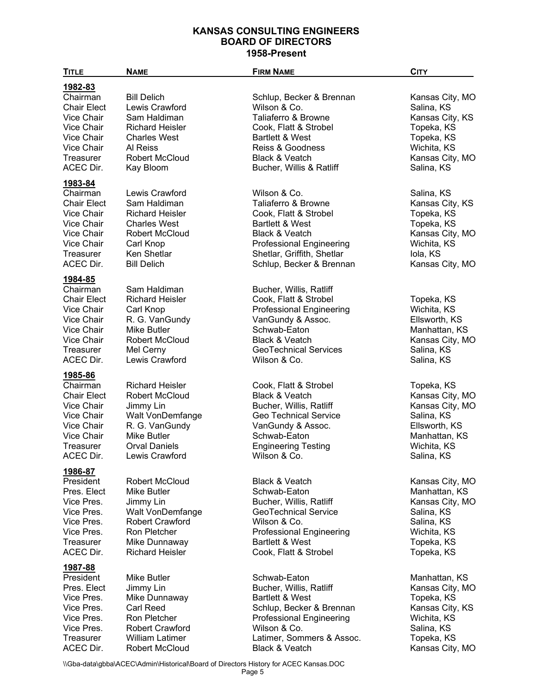| <b>TITLE</b>                                                                                                                              | <b>NAME</b>                                                                                                                                             | <b>FIRM NAME</b>                                                                                                                                                                                          | <b>CITY</b>                                                                                                                     |
|-------------------------------------------------------------------------------------------------------------------------------------------|---------------------------------------------------------------------------------------------------------------------------------------------------------|-----------------------------------------------------------------------------------------------------------------------------------------------------------------------------------------------------------|---------------------------------------------------------------------------------------------------------------------------------|
| 1982-83<br>Chairman<br><b>Chair Elect</b><br>Vice Chair<br>Vice Chair<br><b>Vice Chair</b><br>Vice Chair<br>Treasurer<br>ACEC Dir.        | <b>Bill Delich</b><br>Lewis Crawford<br>Sam Haldiman<br><b>Richard Heisler</b><br><b>Charles West</b><br>Al Reiss<br><b>Robert McCloud</b><br>Kay Bloom | Schlup, Becker & Brennan<br>Wilson & Co.<br>Taliaferro & Browne<br>Cook, Flatt & Strobel<br><b>Bartlett &amp; West</b><br>Reiss & Goodness<br>Black & Veatch<br>Bucher, Willis & Ratliff                  | Kansas City, MO<br>Salina, KS<br>Kansas City, KS<br>Topeka, KS<br>Topeka, KS<br>Wichita, KS<br>Kansas City, MO<br>Salina, KS    |
| 1983-84<br>Chairman<br><b>Chair Elect</b><br>Vice Chair<br>Vice Chair<br>Vice Chair<br>Vice Chair<br>Treasurer<br><b>ACEC Dir.</b>        | Lewis Crawford<br>Sam Haldiman<br><b>Richard Heisler</b><br><b>Charles West</b><br>Robert McCloud<br>Carl Knop<br>Ken Shetlar<br><b>Bill Delich</b>     | Wilson & Co.<br>Taliaferro & Browne<br>Cook, Flatt & Strobel<br><b>Bartlett &amp; West</b><br>Black & Veatch<br><b>Professional Engineering</b><br>Shetlar, Griffith, Shetlar<br>Schlup, Becker & Brennan | Salina, KS<br>Kansas City, KS<br>Topeka, KS<br>Topeka, KS<br>Kansas City, MO<br>Wichita, KS<br>Iola, KS<br>Kansas City, MO      |
| 1984-85<br>Chairman<br><b>Chair Elect</b><br>Vice Chair<br>Vice Chair<br><b>Vice Chair</b><br>Vice Chair<br><b>Treasurer</b><br>ACEC Dir. | Sam Haldiman<br><b>Richard Heisler</b><br>Carl Knop<br>R. G. VanGundy<br>Mike Butler<br>Robert McCloud<br>Mel Cerny<br>Lewis Crawford                   | Bucher, Willis, Ratliff<br>Cook, Flatt & Strobel<br><b>Professional Engineering</b><br>VanGundy & Assoc.<br>Schwab-Eaton<br><b>Black &amp; Veatch</b><br><b>GeoTechnical Services</b><br>Wilson & Co.     | Topeka, KS<br>Wichita, KS<br>Ellsworth, KS<br>Manhattan, KS<br>Kansas City, MO<br>Salina, KS<br>Salina, KS                      |
| 1985-86<br>Chairman<br><b>Chair Elect</b><br>Vice Chair<br>Vice Chair<br>Vice Chair<br>Vice Chair<br>Treasurer<br>ACEC Dir.               | <b>Richard Heisler</b><br>Robert McCloud<br>Jimmy Lin<br>Walt VonDemfange<br>R. G. VanGundy<br>Mike Butler<br><b>Orval Daniels</b><br>Lewis Crawford    | Cook, Flatt & Strobel<br><b>Black &amp; Veatch</b><br>Bucher, Willis, Ratliff<br>Geo Technical Service<br>VanGundy & Assoc.<br>Schwab-Eaton<br><b>Engineering Testing</b><br>Wilson & Co.                 | Topeka, KS<br>Kansas City, MO<br>Kansas City, MO<br>Salina, KS<br>Ellsworth, KS<br>Manhattan, KS<br>Wichita, KS<br>Salina, KS   |
| 1986-87<br>President<br>Pres. Elect<br>Vice Pres.<br>Vice Pres.<br>Vice Pres.<br>Vice Pres.<br><b>Treasurer</b><br>ACEC Dir.              | Robert McCloud<br>Mike Butler<br>Jimmy Lin<br>Walt VonDemfange<br><b>Robert Crawford</b><br>Ron Pletcher<br>Mike Dunnaway<br><b>Richard Heisler</b>     | <b>Black &amp; Veatch</b><br>Schwab-Eaton<br>Bucher, Willis, Ratliff<br>GeoTechnical Service<br>Wilson & Co.<br><b>Professional Engineering</b><br><b>Bartlett &amp; West</b><br>Cook, Flatt & Strobel    | Kansas City, MO<br>Manhattan, KS<br>Kansas City, MO<br>Salina, KS<br>Salina, KS<br>Wichita, KS<br>Topeka, KS<br>Topeka, KS      |
| 1987-88<br>President<br>Pres. Elect<br>Vice Pres.<br>Vice Pres.<br>Vice Pres.<br>Vice Pres.<br><b>Treasurer</b><br>ACEC Dir.              | Mike Butler<br>Jimmy Lin<br>Mike Dunnaway<br><b>Carl Reed</b><br>Ron Pletcher<br>Robert Crawford<br><b>William Latimer</b><br>Robert McCloud            | Schwab-Eaton<br>Bucher, Willis, Ratliff<br><b>Bartlett &amp; West</b><br>Schlup, Becker & Brennan<br><b>Professional Engineering</b><br>Wilson & Co.<br>Latimer, Sommers & Assoc.<br>Black & Veatch       | Manhattan, KS<br>Kansas City, MO<br>Topeka, KS<br>Kansas City, KS<br>Wichita, KS<br>Salina, KS<br>Topeka, KS<br>Kansas City, MO |

\\Gba-data\gbba\ACEC\Admin\Historical\Board of Directors History for ACEC Kansas.DOC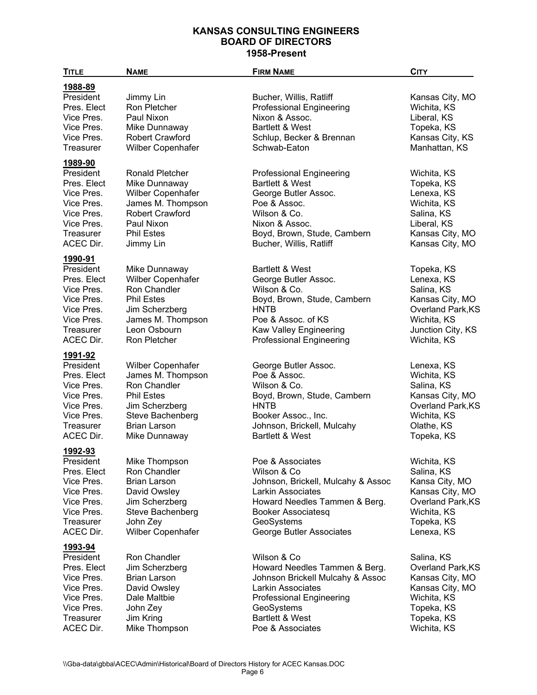| <b>TITLE</b>             | <b>NAME</b>                                   | <b>FIRM NAME</b>                           | <b>CITY</b>                          |
|--------------------------|-----------------------------------------------|--------------------------------------------|--------------------------------------|
| 1988-89                  |                                               |                                            |                                      |
| President                | Jimmy Lin                                     | Bucher, Willis, Ratliff                    | Kansas City, MO                      |
| Pres. Elect              | Ron Pletcher                                  | <b>Professional Engineering</b>            | Wichita, KS                          |
| Vice Pres.               | Paul Nixon                                    | Nixon & Assoc.                             | Liberal, KS                          |
| Vice Pres.               | Mike Dunnaway                                 | <b>Bartlett &amp; West</b>                 | Topeka, KS                           |
| Vice Pres.               | <b>Robert Crawford</b>                        | Schlup, Becker & Brennan                   | Kansas City, KS                      |
| Treasurer                | Wilber Copenhafer                             | Schwab-Eaton                               | Manhattan, KS                        |
| 1989-90                  |                                               |                                            |                                      |
| President                | <b>Ronald Pletcher</b>                        | <b>Professional Engineering</b>            | Wichita, KS                          |
| Pres. Elect              | Mike Dunnaway                                 | <b>Bartlett &amp; West</b>                 | Topeka, KS                           |
| Vice Pres.               | Wilber Copenhafer                             | George Butler Assoc.                       | Lenexa, KS                           |
| Vice Pres.               | James M. Thompson                             | Poe & Assoc.                               | Wichita, KS                          |
| Vice Pres.               | <b>Robert Crawford</b>                        | Wilson & Co.                               | Salina, KS                           |
| Vice Pres.               | Paul Nixon                                    | Nixon & Assoc.                             | Liberal, KS                          |
| Treasurer                | <b>Phil Estes</b>                             | Boyd, Brown, Stude, Cambern                | Kansas City, MO                      |
| ACEC Dir.                | Jimmy Lin                                     | Bucher, Willis, Ratliff                    | Kansas City, MO                      |
| 1990-91                  |                                               |                                            |                                      |
| President                | Mike Dunnaway                                 | <b>Bartlett &amp; West</b>                 | Topeka, KS                           |
| Pres. Elect              | Wilber Copenhafer                             | George Butler Assoc.                       | Lenexa, KS                           |
| Vice Pres.               | Ron Chandler                                  | Wilson & Co.                               | Salina, KS                           |
| Vice Pres.<br>Vice Pres. | <b>Phil Estes</b>                             | Boyd, Brown, Stude, Cambern<br><b>HNTB</b> | Kansas City, MO<br>Overland Park, KS |
| Vice Pres.               | Jim Scherzberg<br>James M. Thompson           | Poe & Assoc. of KS                         | Wichita, KS                          |
| Treasurer                | Leon Osbourn                                  | Kaw Valley Engineering                     | Junction City, KS                    |
| ACEC Dir.                | Ron Pletcher                                  | <b>Professional Engineering</b>            | Wichita, KS                          |
|                          |                                               |                                            |                                      |
| 1991-92                  |                                               |                                            |                                      |
| President<br>Pres. Elect | <b>Wilber Copenhafer</b><br>James M. Thompson | George Butler Assoc.<br>Poe & Assoc.       | Lenexa, KS<br>Wichita, KS            |
| Vice Pres.               | Ron Chandler                                  | Wilson & Co.                               | Salina, KS                           |
| Vice Pres.               | <b>Phil Estes</b>                             | Boyd, Brown, Stude, Cambern                | Kansas City, MO                      |
| Vice Pres.               | Jim Scherzberg                                | <b>HNTB</b>                                | Overland Park, KS                    |
| Vice Pres.               | Steve Bachenberg                              | Booker Assoc., Inc.                        | Wichita, KS                          |
| Treasurer                | <b>Brian Larson</b>                           | Johnson, Brickell, Mulcahy                 | Olathe, KS                           |
| ACEC Dir.                | Mike Dunnaway                                 | Bartlett & West                            | Topeka, KS                           |
| 1992-93                  |                                               |                                            |                                      |
| President                | Mike Thompson                                 | Poe & Associates                           | Wichita, KS                          |
| Pres. Elect              | Ron Chandler                                  | Wilson & Co                                | Salina, KS                           |
| Vice Pres.               | <b>Brian Larson</b>                           | Johnson, Brickell, Mulcahy & Assoc         | Kansa City, MO                       |
| Vice Pres.               | David Owsley                                  | Larkin Associates                          | Kansas City, MO                      |
| Vice Pres.               | Jim Scherzberg                                | Howard Needles Tammen & Berg.              | Overland Park, KS                    |
| Vice Pres.               | Steve Bachenberg                              | <b>Booker Associatesq</b>                  | Wichita, KS                          |
| Treasurer                | John Zey                                      | GeoSystems                                 | Topeka, KS                           |
| ACEC Dir.                | Wilber Copenhafer                             | George Butler Associates                   | Lenexa, KS                           |
| <u>1993-94</u>           |                                               |                                            |                                      |
| President                | Ron Chandler                                  | Wilson & Co                                | Salina, KS                           |
| Pres. Elect              | Jim Scherzberg                                | Howard Needles Tammen & Berg.              | Overland Park, KS                    |
| Vice Pres.               | <b>Brian Larson</b>                           | Johnson Brickell Mulcahy & Assoc           | Kansas City, MO                      |
| Vice Pres.               | David Owsley                                  | Larkin Associates                          | Kansas City, MO                      |
| Vice Pres.               | Dale Maltbie                                  | Professional Engineering                   | Wichita, KS                          |
| Vice Pres.               | John Zey                                      | GeoSystems                                 | Topeka, KS                           |
| Treasurer                | Jim Kring                                     | Bartlett & West                            | Topeka, KS                           |
| ACEC Dir.                | Mike Thompson                                 | Poe & Associates                           | Wichita, KS                          |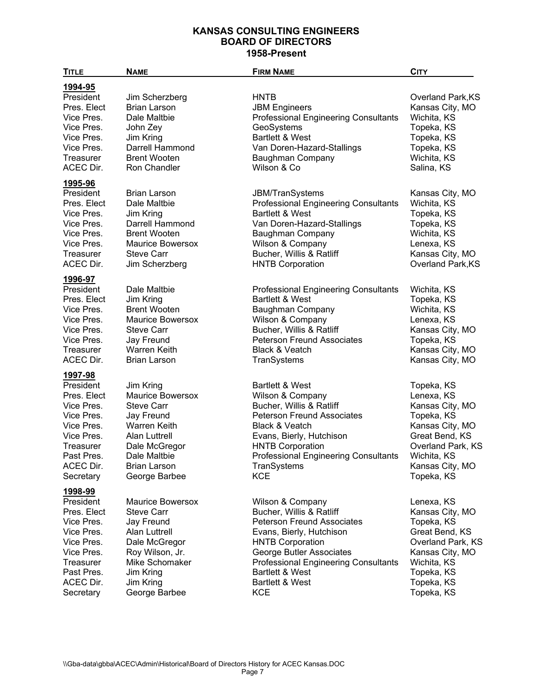| <b>TITLE</b>                                                                                                                                     | <b>NAME</b>                                                                                                                                                                              | <b>FIRM NAME</b>                                                                                                                                                                                                                                                                   | <b>CITY</b>                                                                                                                                                         |
|--------------------------------------------------------------------------------------------------------------------------------------------------|------------------------------------------------------------------------------------------------------------------------------------------------------------------------------------------|------------------------------------------------------------------------------------------------------------------------------------------------------------------------------------------------------------------------------------------------------------------------------------|---------------------------------------------------------------------------------------------------------------------------------------------------------------------|
| 1994-95<br>President<br>Pres. Elect<br>Vice Pres.<br>Vice Pres.<br>Vice Pres.<br>Vice Pres.<br>Treasurer<br>ACEC Dir.                            | Jim Scherzberg<br><b>Brian Larson</b><br>Dale Maltbie<br>John Zey<br>Jim Kring<br>Darrell Hammond<br><b>Brent Wooten</b><br>Ron Chandler                                                 | <b>HNTB</b><br><b>JBM Engineers</b><br><b>Professional Engineering Consultants</b><br>GeoSystems<br><b>Bartlett &amp; West</b><br>Van Doren-Hazard-Stallings<br>Baughman Company<br>Wilson & Co                                                                                    | Overland Park, KS<br>Kansas City, MO<br>Wichita, KS<br>Topeka, KS<br>Topeka, KS<br>Topeka, KS<br>Wichita, KS<br>Salina, KS                                          |
| 1995-96<br>President<br>Pres. Elect<br>Vice Pres.<br>Vice Pres.<br>Vice Pres.<br>Vice Pres.<br>Treasurer<br>ACEC Dir.                            | <b>Brian Larson</b><br>Dale Maltbie<br>Jim Kring<br>Darrell Hammond<br><b>Brent Wooten</b><br><b>Maurice Bowersox</b><br><b>Steve Carr</b><br>Jim Scherzberg                             | <b>JBM/TranSystems</b><br><b>Professional Engineering Consultants</b><br><b>Bartlett &amp; West</b><br>Van Doren-Hazard-Stallings<br>Baughman Company<br>Wilson & Company<br>Bucher, Willis & Ratliff<br><b>HNTB Corporation</b>                                                   | Kansas City, MO<br>Wichita, KS<br>Topeka, KS<br>Topeka, KS<br>Wichita, KS<br>Lenexa, KS<br>Kansas City, MO<br>Overland Park, KS                                     |
| 1996-97<br>President<br>Pres. Elect<br>Vice Pres.<br>Vice Pres.<br>Vice Pres.<br>Vice Pres.<br>Treasurer<br>ACEC Dir.                            | Dale Maltbie<br>Jim Kring<br><b>Brent Wooten</b><br><b>Maurice Bowersox</b><br><b>Steve Carr</b><br>Jay Freund<br>Warren Keith<br><b>Brian Larson</b>                                    | <b>Professional Engineering Consultants</b><br><b>Bartlett &amp; West</b><br>Baughman Company<br>Wilson & Company<br>Bucher, Willis & Ratliff<br><b>Peterson Freund Associates</b><br>Black & Veatch<br>TranSystems                                                                | Wichita, KS<br>Topeka, KS<br>Wichita, KS<br>Lenexa, KS<br>Kansas City, MO<br>Topeka, KS<br>Kansas City, MO<br>Kansas City, MO                                       |
| 1997-98<br>President<br>Pres. Elect<br>Vice Pres.<br>Vice Pres.<br>Vice Pres.<br>Vice Pres.<br>Treasurer<br>Past Pres.<br>ACEC Dir.<br>Secretary | Jim Kring<br><b>Maurice Bowersox</b><br><b>Steve Carr</b><br>Jay Freund<br>Warren Keith<br><b>Alan Luttrell</b><br>Dale McGregor<br>Dale Maltbie<br><b>Brian Larson</b><br>George Barbee | <b>Bartlett &amp; West</b><br>Wilson & Company<br>Bucher, Willis & Ratliff<br><b>Peterson Freund Associates</b><br>Black & Veatch<br>Evans, Bierly, Hutchison<br><b>HNTB Corporation</b><br><b>Professional Engineering Consultants</b><br>TranSystems<br><b>KCE</b>               | Topeka, KS<br>Lenexa, KS<br>Kansas City, MO<br>Topeka, KS<br>Kansas City, MO<br>Great Bend, KS<br>Overland Park, KS<br>Wichita, KS<br>Kansas City, MO<br>Topeka, KS |
| 1998-99<br>President<br>Pres. Elect<br>Vice Pres.<br>Vice Pres.<br>Vice Pres.<br>Vice Pres.<br>Treasurer<br>Past Pres.<br>ACEC Dir.<br>Secretary | Maurice Bowersox<br><b>Steve Carr</b><br>Jay Freund<br><b>Alan Luttrell</b><br>Dale McGregor<br>Roy Wilson, Jr.<br>Mike Schomaker<br>Jim Kring<br>Jim Kring<br>George Barbee             | Wilson & Company<br>Bucher, Willis & Ratliff<br><b>Peterson Freund Associates</b><br>Evans, Bierly, Hutchison<br><b>HNTB Corporation</b><br>George Butler Associates<br><b>Professional Engineering Consultants</b><br><b>Bartlett &amp; West</b><br>Bartlett & West<br><b>KCE</b> | Lenexa, KS<br>Kansas City, MO<br>Topeka, KS<br>Great Bend, KS<br>Overland Park, KS<br>Kansas City, MO<br>Wichita, KS<br>Topeka, KS<br>Topeka, KS<br>Topeka, KS      |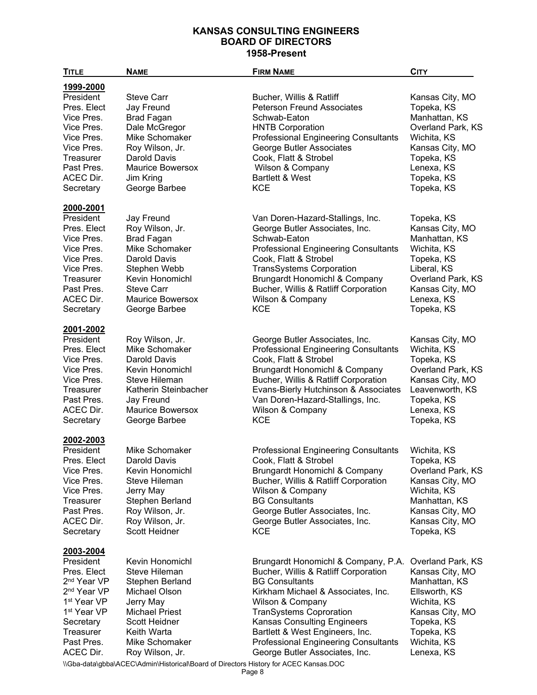| <b>TITLE</b>            | <b>NAME</b>                                                                           | <b>FIRM NAME</b>                            | <b>CITY</b>       |
|-------------------------|---------------------------------------------------------------------------------------|---------------------------------------------|-------------------|
| 1999-2000               |                                                                                       |                                             |                   |
| President               | <b>Steve Carr</b>                                                                     | Bucher, Willis & Ratliff                    | Kansas City, MO   |
| Pres. Elect             | Jay Freund                                                                            | <b>Peterson Freund Associates</b>           | Topeka, KS        |
| Vice Pres.              | <b>Brad Fagan</b>                                                                     | Schwab-Eaton                                | Manhattan, KS     |
| Vice Pres.              | Dale McGregor                                                                         | <b>HNTB Corporation</b>                     | Overland Park, KS |
| Vice Pres.              | Mike Schomaker                                                                        | <b>Professional Engineering Consultants</b> | Wichita, KS       |
| Vice Pres.              | Roy Wilson, Jr.                                                                       | George Butler Associates                    | Kansas City, MO   |
| Treasurer               | Darold Davis                                                                          | Cook, Flatt & Strobel                       | Topeka, KS        |
| Past Pres.              | <b>Maurice Bowersox</b>                                                               | Wilson & Company                            | Lenexa, KS        |
| ACEC Dir.               | Jim Kring                                                                             | Bartlett & West                             | Topeka, KS        |
| Secretary               | George Barbee                                                                         | <b>KCE</b>                                  | Topeka, KS        |
| 2000-2001               |                                                                                       |                                             |                   |
| President               | Jay Freund                                                                            | Van Doren-Hazard-Stallings, Inc.            | Topeka, KS        |
| Pres. Elect             | Roy Wilson, Jr.                                                                       | George Butler Associates, Inc.              | Kansas City, MO   |
| Vice Pres.              | <b>Brad Fagan</b>                                                                     | Schwab-Eaton                                | Manhattan, KS     |
| Vice Pres.              | Mike Schomaker                                                                        | <b>Professional Engineering Consultants</b> | Wichita, KS       |
| Vice Pres.              | Darold Davis                                                                          | Cook, Flatt & Strobel                       | Topeka, KS        |
| Vice Pres.              | Stephen Webb                                                                          | <b>TransSystems Corporation</b>             | Liberal, KS       |
| <b>Treasurer</b>        | Kevin Honomichl                                                                       |                                             | Overland Park, KS |
| Past Pres.              | <b>Steve Carr</b>                                                                     | <b>Brungardt Honomichl &amp; Company</b>    |                   |
|                         |                                                                                       | Bucher, Willis & Ratliff Corporation        | Kansas City, MO   |
| ACEC Dir.               | <b>Maurice Bowersox</b>                                                               | Wilson & Company                            | Lenexa, KS        |
| Secretary               | George Barbee                                                                         | <b>KCE</b>                                  | Topeka, KS        |
| 2001-2002               |                                                                                       |                                             |                   |
| President               | Roy Wilson, Jr.                                                                       | George Butler Associates, Inc.              | Kansas City, MO   |
| Pres. Elect             | Mike Schomaker                                                                        | <b>Professional Engineering Consultants</b> | Wichita, KS       |
| Vice Pres.              | Darold Davis                                                                          | Cook, Flatt & Strobel                       | Topeka, KS        |
| Vice Pres.              | Kevin Honomichl                                                                       | Brungardt Honomichl & Company               | Overland Park, KS |
| Vice Pres.              | <b>Steve Hileman</b>                                                                  | Bucher, Willis & Ratliff Corporation        | Kansas City, MO   |
| Treasurer               | Katherin Steinbacher                                                                  | Evans-Bierly Hutchinson & Associates        | Leavenworth, KS   |
| Past Pres.              | Jay Freund                                                                            | Van Doren-Hazard-Stallings, Inc.            | Topeka, KS        |
| ACEC Dir.               | <b>Maurice Bowersox</b>                                                               | Wilson & Company                            | Lenexa, KS        |
| Secretary               | George Barbee                                                                         | <b>KCE</b>                                  | Topeka, KS        |
| 2002-2003               |                                                                                       |                                             |                   |
| President               | Mike Schomaker                                                                        | <b>Professional Engineering Consultants</b> | Wichita, KS       |
| Pres. Elect             | Darold Davis                                                                          | Cook, Flatt & Strobel                       | Topeka, KS        |
| Vice Pres.              | Kevin Honomichl                                                                       | Brungardt Honomichl & Company               | Overland Park, KS |
| Vice Pres.              | Steve Hileman                                                                         | Bucher, Willis & Ratliff Corporation        | Kansas City, MO   |
| Vice Pres.              | Jerry May                                                                             | Wilson & Company                            | Wichita, KS       |
| <b>Treasurer</b>        | Stephen Berland                                                                       | <b>BG Consultants</b>                       | Manhattan, KS     |
| Past Pres.              | Roy Wilson, Jr.                                                                       | George Butler Associates, Inc.              | Kansas City, MO   |
| ACEC Dir.               | Roy Wilson, Jr.                                                                       | George Butler Associates, Inc.              | Kansas City, MO   |
| Secretary               | Scott Heidner                                                                         | KCE                                         | Topeka, KS        |
| 2003-2004               |                                                                                       |                                             |                   |
| President               | Kevin Honomichl                                                                       | Brungardt Honomichl & Company, P.A.         | Overland Park, KS |
| Pres. Elect             | Steve Hileman                                                                         | Bucher, Willis & Ratliff Corporation        | Kansas City, MO   |
| 2 <sup>nd</sup> Year VP | Stephen Berland                                                                       | <b>BG Consultants</b>                       | Manhattan, KS     |
| 2 <sup>nd</sup> Year VP | Michael Olson                                                                         | Kirkham Michael & Associates, Inc.          | Ellsworth, KS     |
| 1 <sup>st</sup> Year VP | Jerry May                                                                             | Wilson & Company                            | Wichita, KS       |
| 1 <sup>st</sup> Year VP | <b>Michael Priest</b>                                                                 | <b>TranSystems Coproration</b>              | Kansas City, MO   |
| Secretary               | Scott Heidner                                                                         | <b>Kansas Consulting Engineers</b>          | Topeka, KS        |
| Treasurer               | Keith Warta                                                                           | Bartlett & West Engineers, Inc.             | Topeka, KS        |
| Past Pres.              | Mike Schomaker                                                                        | <b>Professional Engineering Consultants</b> | Wichita, KS       |
| ACEC Dir.               | Roy Wilson, Jr.                                                                       | George Butler Associates, Inc.              | Lenexa, KS        |
|                         | IChe detalable) ACEOLA dminUlioterical Deerd of Directors History for ACEO Kanego DOC |                                             |                   |

\\Gba-data\gbba\ACEC\Admin\Historical\Board of Directors History for ACEC Kansas.DOC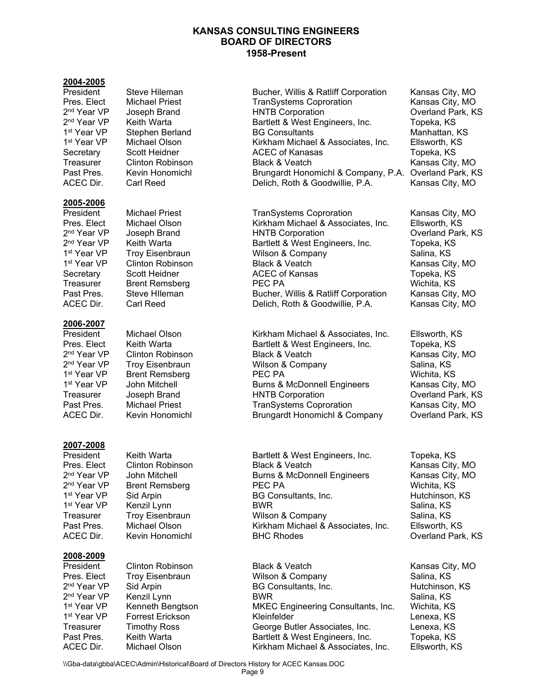## **2004-2005**

#### **2005-2006**

## **2006-2007**

# **2007-2008**

2<sup>nd</sup> Year VP Brent Remsberg FEC PA<br>1<sup>st</sup> Year VP Sid Arpin Fect Panama BG Cons

# **2008-2009**

2<sup>nd</sup> Year VP Sid Arpin BG Consultants, Inc.

Steve Hileman **Bucher, Willis & Ratliff Corporation** Kansas City, MO Pres. Elect Michael Priest TranSystems Coproration Kansas City, MO 2nd Year VP Joseph Brand HNTB Corporation Overland Park, KS Bartlett & West Engineers, Inc. Topeka, KS 1st Year VP Stephen Berland BG Consultants Manhattan, KS 1st Year VP Michael Olson Kirkham Michael & Associates, Inc. Ellsworth, KS Secretary Scott Heidner **ACEC of Kanasas** Topeka, KS Treasurer Clinton Robinson Black & Veatch Clinton Robinson Black & Veatch Kansas City, MO Past Pres. Kevin Honomichl Brungardt Honomichl & Company, P.A. Overland Park, KS<br>ACEC Dir. Carl Reed Brungardt Delich. Roth & Goodwillie. P.A. Kansas City. MO Delich, Roth & Goodwillie, P.A. Kansas City, MO

President Michael Priest TranSystems Coproration Kansas City, MO Pres. Elect Michael Olson Kirkham Michael & Associates, Inc. Ellsworth, KS<br>2<sup>nd</sup> Year VP Joseph Brand HNTB Corporation Corportion Cycrland Parl 2nd Year VP Joseph Brand HNTB Corporation Overland Park, KS 2nd Year VP Keith Warta Bartlett & West Engineers, Inc. Topeka, KS 1<sup>st</sup> Year VP Troy Eisenbraun Nilson & Company Nilson & Company Salina, KS 1<sup>st</sup> Year VP Clinton Robinson **Black & Veatch Kansas City, MO** Secretary Scott Heidner **ACEC of Kansas** Topeka, KS Treasurer Brent Remsberg PEC PA Nichita, KS Past Pres. Steve HIleman Bucher, Willis & Ratliff Corporation Kansas City, MO<br>ACEC Dir. Carl Reed Delich, Roth & Goodwillie, P.A. Kansas Cit Delich, Roth & Goodwillie, P.A.

President Michael Olson Kirkham Michael & Associates, Inc. Ellsworth, KS<br>Pres. Elect Keith Warta **Bartlett & West Engineers, Inc.** Topeka, KS Pres. Elect Keith Warta Bartlett & West Engineers, Inc. Topeka, KS<br>2<sup>nd</sup> Year VP Clinton Robinson Black & Veatch 2nd Year VP Clinton Robinson Black & Veatch Kansas City, MO **2** Troy Eisenbraun **2018** Wilson & Company Salina, KS 1st Year VP Brent Remsberg **PEC PA** PEC PA Wichita, KS 1<sup>st</sup> Year VP John Mitchell Burns & McDonnell Engineers Kansas City, MO<br>Treasurer Joseph Brand HNTB Corporation Overland Park, KS Treasurer Joseph Brand HNTB Corporation<br>Past Pres. Michael Priest FranSystems Copr Past Pres. Michael Priest TranSystems Coproration Kansas City, MO ACEC Dir. Kevin Honomichl Brungardt Honomichl & Company Overland Park, KS

Keith Warta **Bartlett & West Engineers, Inc.** Topeka, KS Pres. Elect Clinton Robinson Black & Veatch Kansas City, MO <sup>2nd</sup> Year VP bohn Mitchell Burns & McDonnell Engineers Kansas City (Ansume Automa) Burns & McDonnell Engineers<br>And Year VP Brent Remsberg (PEC PA 1st Year 1st Year 1st Year 1st Year 1st Year 1st Year 2nd Arpin Sid Arpin 1st Year 1st Year 1st Year 1st Year 1 1st Year VP Kenzil Lynn BWR Salina, KS Wilson & Company Past Pres. Michael Olson Kirkham Michael & Associates, Inc. Ellsworth, KS ACEC Dir. Kevin Honomichl BHC Rhodes Controlled BHC Router Coverland Park, KS

President Clinton Robinson Black & Veatch Kansas City, MO Troy Eisenbraun Wilson & Company Salina, KS<br>Sid Arpin BG Consultants, Inc. Hutchinson, KS 2nd Year VP Kenzil Lynn BWR Salina, KS **15t Year Year Year Year Year Venneth Bengtson MKEC Engineering Consultants, Inc. Wichita, KS** 1st Year VP bet The Forrest Erickson Control Chemister Kleinfelder Chemister Chemister Chemister Lenexa, KS Treasurer Timothy Ross George Butler Associates, Inc. Chenexa, KS<br>Past Pres. Keith Warta Chenexa, Bartlett & West Engineers. Inc. Topeka. KS **Past Pres. Engineers, Inc.** Topeka, KS ACEC Dir. Michael Olson Kirkham Michael & Associates, Inc. Ellsworth, KS

\\Gba-data\gbba\ACEC\Admin\Historical\Board of Directors History for ACEC Kansas.DOC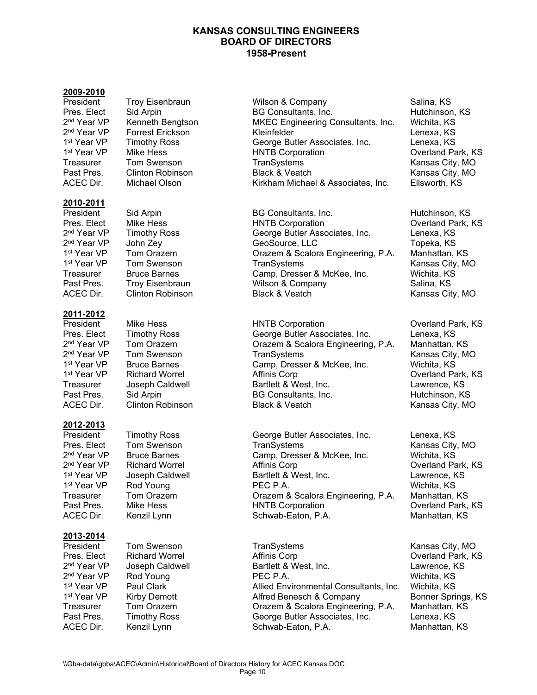#### **2009-2010**

#### **2010-2011**

#### **2011-2012**

#### **2012-2013**

# **2013-2014**

President Troy Eisenbraun Milson & Company Company Salina, KS Pres. Elect Sid Arpin BG Consultants, Inc. Hutchinson, KS<br>
2<sup>nd</sup> Year VP Kenneth Bengtson MKEC Engineering Consultants, Inc. Wichita, KS MKEC Engineering Consultants, Inc. 2<sup>nd</sup> Year VP Forrest Erickson Kleinfelder Kleinfelder Lenexa, KS 1st Year VP Timothy Ross George Butler Associates, Inc. Lenexa, KS Mike Hess **1st Year 20 HNTB Corporation** 1st Year 20 Overland Park, KS Treasurer Tom Swenson TranSystems TranSystems Kansas City, MO Past Pres. Clinton Robinson Black & Veatch Kansas City, MO Kirkham Michael & Associates, Inc. Ellsworth, KS

President Sid Arpin BG Consultants, Inc. 6 Hutchinson, KS Pres. Elect Mike Hess HNTB Corporation Overland Park, KS <sup>nd</sup> Year VP Timothy Ross George Butler Associates, Inc. Lenexa, KS<br>2<sup>nd</sup> Year VP John Zev GeoSource. LLC John Zey **Character Contract Contract Contract Contract Contract Contract Contract Contract Contract Contract Co** 1st Year VP Tom Orazem Orazem & Scalora Engineering, P.A. Manhattan, KS 1st Year VP Tom Swenson TranSystems TranSystems Kansas City, MO Treasurer Bruce Barnes Camp, Dresser & McKee, Inc. Wichita, KS Past Pres. Troy Eisenbraun Nilson & Company Nilson & Company Salina, KS ACEC Dir. Clinton Robinson Black & Veatch Black Action Kansas City, MO

President Mike Hess HNTB Corporation Overland Park, KS Pres. Elect Timothy Ross George Butler Associates, Inc.<br>
2<sup>nd</sup> Year VP Tom Orazem **Calles Contains** Orazem & Scalora Engineerinc <sup>nd</sup> Year VP Tom Orazem Orazem & Scalora Engineering, P.A. Manhattan, KS<br>2<sup>nd</sup> Year VP Tom Swenson TranSystems Kansas City. M <sup>nd</sup> Year VP Tom Swenson TranSystems Kansas City, MO<br>1<sup>st</sup> Year VP Bruce Barnes Camp\_Dresser & McKee\_Inc Wichita\_KS Camp, Dresser & McKee, Inc. Wichita, KS 1st Year VP Richard Worrel **Affinis Corp** Communication Affinis Corp **Constanting Constant Park, KS** Treasurer Joseph Caldwell Bartlett & West, Inc. Lawrence, KS Past Pres. Sid Arpin Sulle BG Consultants, Inc. Sulle Hutchinson, KS ACEC Dir. Clinton Robinson Black & Veatch Black Action Kansas City, MO

President Timothy Ross George Butler Associates, Inc. Lenexa, KS Pres. Elect Tom Swenson TranSystems TranSystems Kansas City, MO<br>
2<sup>nd</sup> Year VP Bruce Barnes Camp. Dresser & McKee. Inc. Wichita. KS  $2<sup>nd</sup> Year VP$  Bruce Barnes Camp, Dresser & McKee, Inc.  $2<sup>nd</sup> Year VP$  Richard Worrel Affinis Corp Prichard Worrel **2.000 Affinis Corp 2.000 Containers** Overland Park, KS 1<sup>st</sup> Year VP Joseph Caldwell Bartlett & West, Inc. Lawrence, KS<br>1<sup>st</sup> Year VP Rod Young PEC P.A. 1st Year VP Rod Young PEC P.A. Wichita, KS Treasurer Tom Orazem Orazem & Scalora Engineering, P.A. Manhattan, KS Past Pres. Mike Hess HNTB Corporation Overland Park, KS Kenzil Lynn Schwab-Eaton, P.A.

**President TranSystems TranSystems** Kansas City, MO Pres. Elect Richard Worrel Affinis Corp Overland Park, KS 2nd Year VP Joseph Caldwell Bartlett & West, Inc. Lawrence, KS 2<sup>nd</sup> Year VP Rod Young PEC P.A. Wichita, KS 1<sup>st</sup> Year VP aul Clark Allied Environmental Consultants, Inc. Wichita, KS 1st Year VP Kirby Demott **Alfred Benesch & Company** Bonner Springs, KS Treasurer Tom Orazem Orazem & Scalora Engineering, P.A. Manhattan, KS Past Pres. Timothy Ross George Butler Associates, Inc. Lenexa, KS ACEC Dir. Kenzil Lynn Schwab-Eaton, P.A. Manhattan, KS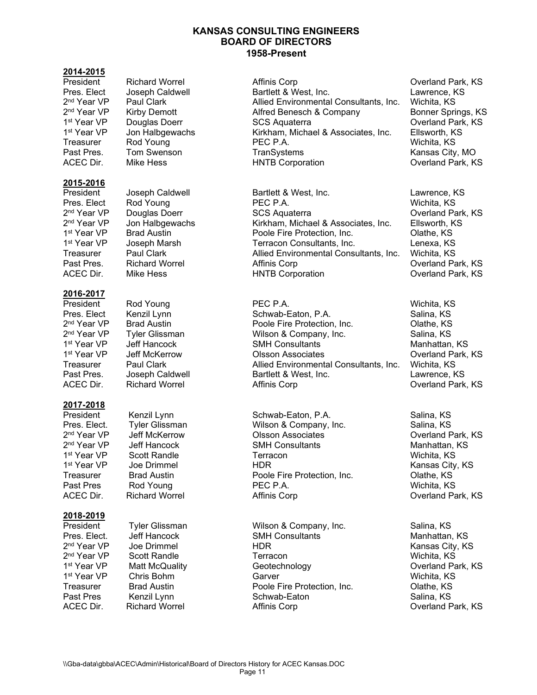### **2014-2015**

## **2015-2016**

# **2016-2017**

# **2017-2018**

#### **2018-2019**

President Rod Young PEC P.A. Wichita, KS

1<sup>st</sup> Year VP Scott Randle<br>1<sup>st</sup> Year VP Joe Drimmel

President Richard Worrel **Affinis Corp** Affinis Corp Coverland Park, KS<br>
Pres. Elect Joseph Caldwell **Bartlett & West, Inc.** Clawrence, KS Bartlett & West, Inc. <sup>nd</sup> Year VP Paul Clark Allied Environmental Consultants, Inc. Wichita, KS<br>2<sup>nd</sup> Year VP Kirby Demott Alfred Benesch & Company <sup>2nd</sup> Year VP Kirby Demott **Alfred Benesch & Company Bonner Springs**, KS<br>1<sup>st</sup> Year VP Douglas Doerr SCS Aguaterra SCS Aguaterra Cycrland Park, KS 1st SCS Aquaterra 1st Year 2004 Doerland Park, KS 1st Year VP Jon Halbgewachs Kirkham, Michael & Associates, Inc. Ellsworth, KS Treasurer Rod Young PEC P.A. Wichita, KS Past Pres. Tom Swenson TranSystems TranSystems Kansas City, MO ACEC Dir. Mike Hess **HNTB Corporation** ACEC Dir. Mike Hess **HNTB Corporation** Corporation

President Joseph Caldwell Bartlett & West, Inc. Cawrence, KS<br>Pres. Elect Rod Young PEC P.A. Pres. Elect Rod Young Pres. Elect Rod Young PEC P.A. Wichita, KS 2<sup>nd</sup> Year VP Douglas Doerr SCS Aquaterra SCS Aquaterra Coverland Park, KS<br>2<sup>nd</sup> Year VP Jon Halbgewachs Kirkham, Michael & Associates, Inc. Ellsworth, KS <sup>2nd</sup> Year VP Jon Halbgewachs Kirkham, Michael & Associates, Inc. Ellsworth, KS<br>1<sup>st</sup> Year VP Brad Austin Poole Fire Protection. Inc. Olathe. KS 1st Year VP Brad Austin **Poole Fire Protection, Inc.** Olathe, KS (Olathe, KS)<br>1st Year VP Joseph Marsh **Protection Consultants, Inc.** Chemexa, KS Terracon Consultants, Inc. 
Lenexa, KS Treasurer Allied Environmental Consultants, Inc. Wichita, KS Past Pres. Richard Worrel **Affinis Corp Community Constructs** Overland Park, KS ACEC Dir. Mike Hess **HNTB Corporation** ACEC Dir. Mike Hess and Direct Actual Park, KS

Pres. Elect Kenzil Lynn Schwab-Eaton, P.A. Salina, KS<br>
2<sup>nd</sup> Year VP Brad Austin State Schwab-Eaton, P.A. Salina, KS 2<sup>nd</sup> Year VP Brad Austin **Probel Propict Protection, Inc.** 2<sup>nd</sup> Year VP Tyler Glissman Publish As Company, Inc. 2nd Year VP Tyler Glissman  $2^{nd}$  Year VP are Tyler Glissman Wilson & Company, Inc.<br>  $1^{st}$  Year VP and Hencock SMH Consultants **1st Year 1st Year 1st Year 1st Year 1st Year 1st Year 1st Year 1st Year 1st Year 1st Year 1st Year 1st Year 1** 1<sup>st</sup> Year VP deff McKerrow **Colsson Associates** Consultants Inc. Number Overland Park, KS<br>Treasurer Paul Clark Consultants Allied Environmental Consultants Inc. Wichita. KS Allied Environmental Consultants, Inc. Past Pres. Joseph Caldwell Bartlett & West, Inc. Class Calcumence, KS ACEC Dir. Richard Worrel Affinis Corp Overland Park, KS

President Kenzil Lynn Schwab-Eaton, P.A. Salina, KS<br>Pres. Elect. Tyler Glissman Nilson & Company, Inc. Salina, KS Pres. Elect. Tyler Glissman Wilson & Company, Inc.<br>2<sup>nd</sup> Year VP Jeff McKerrow Olsson Associates <sup>2nd</sup> Year VP Jeff McKerrow Olsson Associates Overland Park, KS<br>2<sup>nd</sup> Year VP Jeff Hancock SMH Consultants 2nd Year VP Jeff Hancock SMH Consultants Manhattan, KS **1st Primmel 1st Year 20 HDR 1st Year Venetia** City, KS Treasurer Brad Austin Poole Fire Protection, Inc. Olathe, KS Past Pres Pres Rod Young PEC P.A. PEC P.A. Press Press, Nichita, KS ACEC Dir. Richard Worrel Affinis Corp Overland Park, KS

President Tyler Glissman Wilson & Company, Inc. Salina, KS Pres. Elect. Jeff Hancock SMH Consultants Manhattan, KS 2<sup>nd</sup> Year VP Scott Randle Terracon Wichita, KS<br>1<sup>st</sup> Year VP Matt McQuality Geotechnology Overland Pa 1<sup>st</sup> Year VP Matt McQuality Geotechnology Overland Park, KS<br>1<sup>st</sup> Year VP Chris Bohm Garver Wichita. KS 1st Year VP Chris Bohm Garver Garver Controller Controller Michita, KS Treasurer Brad Austin **Brad Austin** Poole Fire Protection, Inc. Clathe, KS Past Pres Kenzil Lynn Schwab-Eaton Salina, KS ACEC Dir. Richard Worrel Affinis Corp Overland Park, KS

Kansas City, KS